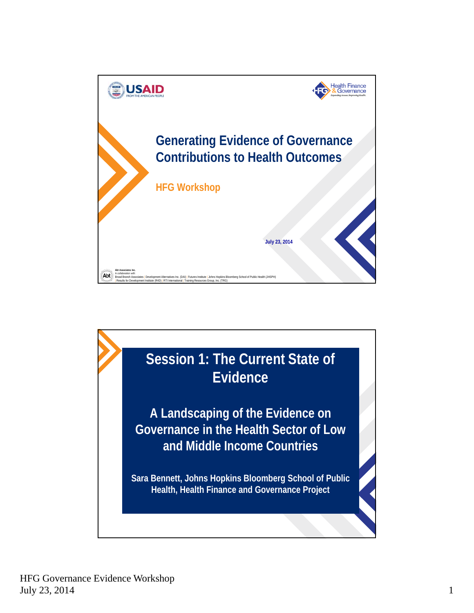

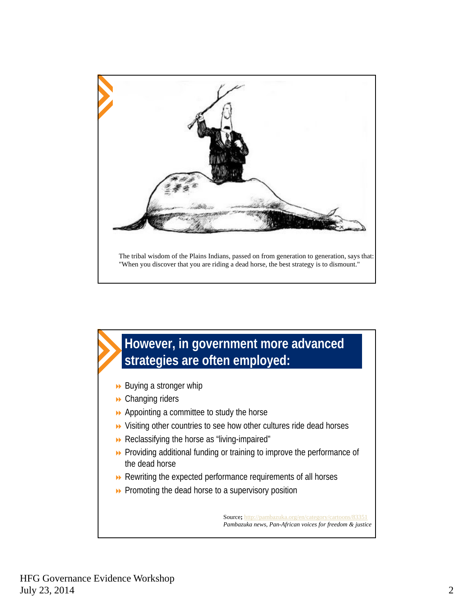

## **However, in government more advanced strategies are often employed:**

- $\rightarrow$  Buying a stronger whip
- **▶ Changing riders**
- **▶ Appointing a committee to study the horse**
- Visiting other countries to see how other cultures ride dead horses
- Reclassifying the horse as "living-impaired"
- **>>** Providing additional funding or training to improve the performance of the dead horse
- **EXECTED** Rewriting the expected performance requirements of all horses
- **Promoting the dead horse to a supervisory position**

Source**;** http://pambazuka.org/en/category/cartoons/83351 *Pambazuka news, Pan-African voices for freedom & justice*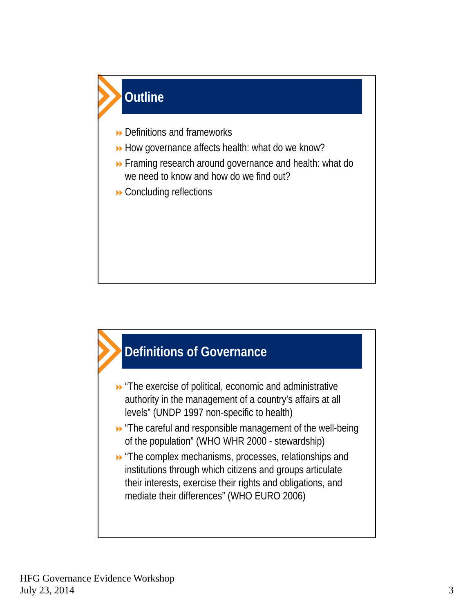



- **D** "The exercise of political, economic and administrative authority in the management of a country's affairs at all levels" (UNDP 1997 non-specific to health)
- "The careful and responsible management of the well-being of the population" (WHO WHR 2000 - stewardship)
- **D** "The complex mechanisms, processes, relationships and institutions through which citizens and groups articulate their interests, exercise their rights and obligations, and mediate their differences" (WHO EURO 2006)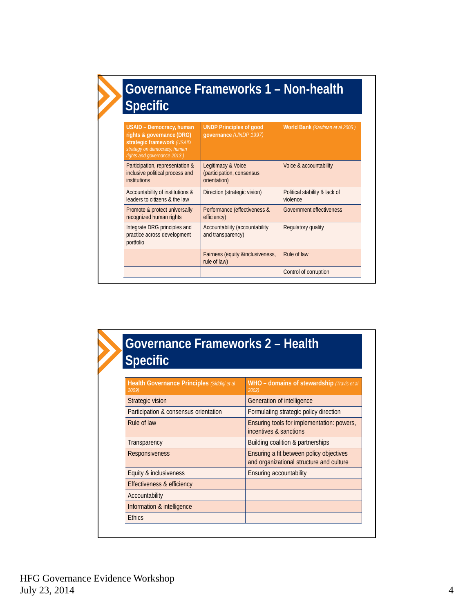| Governance Frameworks 1 - Non-health<br><b>Specific</b>                                                                                                   |                                                                 |                                           |
|-----------------------------------------------------------------------------------------------------------------------------------------------------------|-----------------------------------------------------------------|-------------------------------------------|
| <b>USAID - Democracy, human</b><br>rights & governance (DRG)<br>strategic framework (USAID<br>strategy on democracy, human<br>rights and governance 2013) | <b>UNDP Principles of good</b><br>qovernance (UNDP 1997)        | World Bank (Kaufman et al 2005)           |
| Participation, representation &<br>inclusive political process and<br><i>institutions</i>                                                                 | Legitimacy & Voice<br>(participation, consensus<br>orientation) | Voice & accountability                    |
| Accountability of institutions &<br>leaders to citizens & the law                                                                                         | Direction (strategic vision)                                    | Political stability & lack of<br>violence |
| Promote & protect universally<br>recognized human rights                                                                                                  | Performance (effectiveness &<br>efficiency)                     | Government effectiveness                  |
| Integrate DRG principles and<br>practice across development<br>portfolio                                                                                  | Accountability (accountability<br>and transparency)             | Regulatory quality                        |
|                                                                                                                                                           | Fairness (equity &inclusiveness,<br>rule of law)                | Rule of law                               |
|                                                                                                                                                           |                                                                 | Control of corruption                     |

| Governance Frameworks 2 - Health<br><b>Specific</b>  |                                                                                      |  |
|------------------------------------------------------|--------------------------------------------------------------------------------------|--|
| Health Governance Principles (Siddiqi et al<br>2009) | WHO – domains of stewardship (Travis et al<br>2002)                                  |  |
| <b>Strategic vision</b>                              | Generation of intelligence                                                           |  |
| Participation & consensus orientation                | Formulating strategic policy direction                                               |  |
| Rule of law                                          | Ensuring tools for implementation: powers,<br>incentives & sanctions                 |  |
| Transparency                                         | Building coalition & partnerships                                                    |  |
| Responsiveness                                       | Ensuring a fit between policy objectives<br>and organizational structure and culture |  |
| Equity & inclusiveness                               | Ensuring accountability                                                              |  |
| Effectiveness & efficiency                           |                                                                                      |  |
| Accountability                                       |                                                                                      |  |
| Information & intelligence                           |                                                                                      |  |
| <b>Ethics</b>                                        |                                                                                      |  |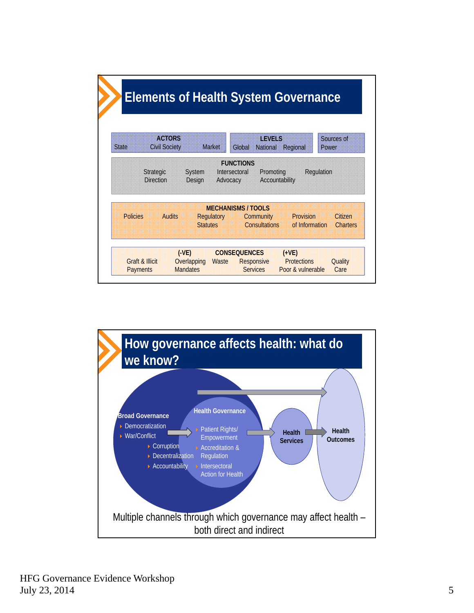| <b>State</b> | <b>ACTORS</b><br><b>Civil Society</b> | <b>Market</b>     | Global                  | <b>IFVELS</b><br><b>National</b> | Regional  | Sources of<br>Power |
|--------------|---------------------------------------|-------------------|-------------------------|----------------------------------|-----------|---------------------|
|              | <b>Direction</b>                      | Design            | Advocacy                | Accountability                   |           |                     |
|              |                                       |                   |                         |                                  |           |                     |
| Policies     | <b>Audits</b>                         | <b>Regulatory</b> | <b>MECHANISMS/TOOLS</b> | Community                        | Provision | Citizen             |

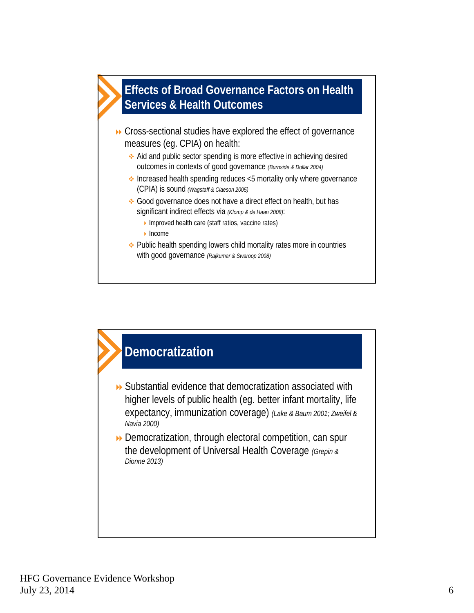

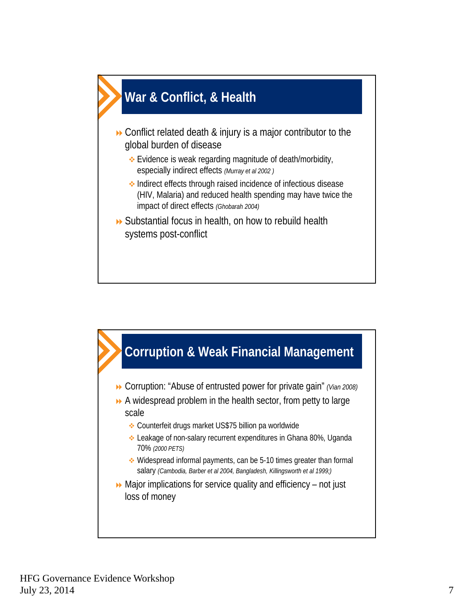

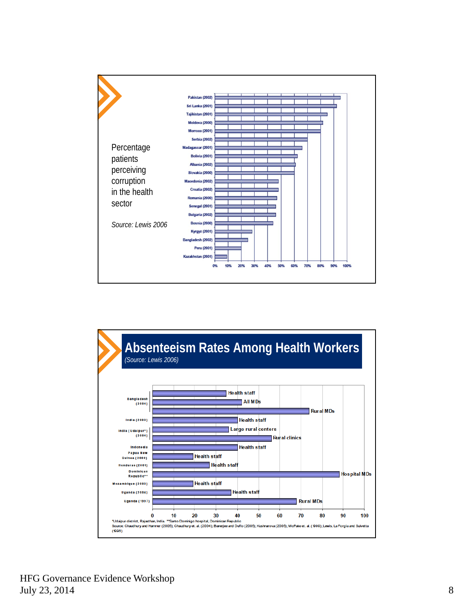

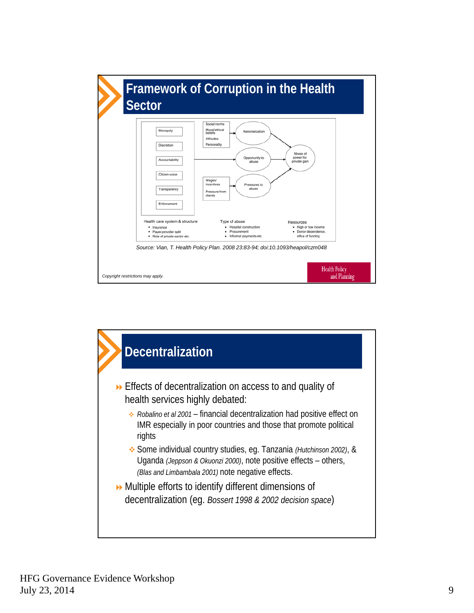

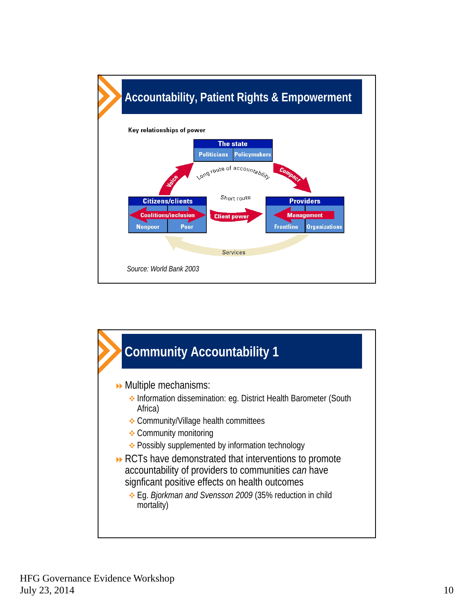

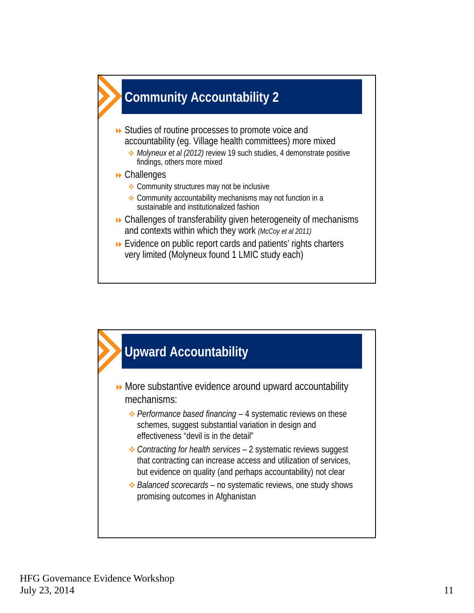

- **▶ Studies of routine processes to promote voice and** accountability (eg. Village health committees) more mixed
	- *Molyneux et al (2012)* review 19 such studies, 4 demonstrate positive findings, others more mixed
- **De** Challenges
	- **← Community structures may not be inclusive**
	- Community accountability mechanisms may not function in a sustainable and institutionalized fashion
- Challenges of transferability given heterogeneity of mechanisms and contexts within which they work *(McCoy et al 2011)*
- Evidence on public report cards and patients' rights charters very limited (Molyneux found 1 LMIC study each)

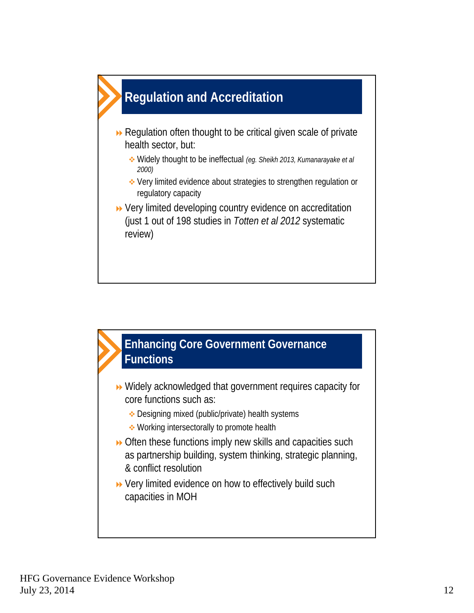

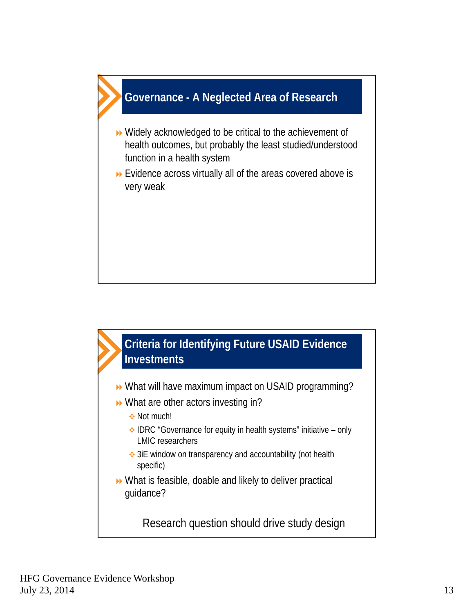

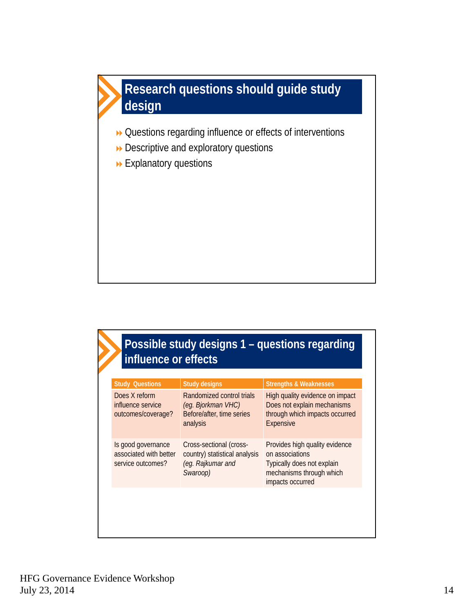

- Questions regarding influence or effects of interventions
- Descriptive and exploratory questions
- Explanatory questions

## **Possible study designs 1 – questions regarding influence or effects**

| <b>Study Questions</b>                                            | <b>Study designs</b>                                                                      | <b>Strengths &amp; Weaknesses</b>                                                                                               |
|-------------------------------------------------------------------|-------------------------------------------------------------------------------------------|---------------------------------------------------------------------------------------------------------------------------------|
| Does X reform<br>influence service<br>outcomes/coverage?          | Randomized control trials<br>(eg. Bjorkman VHC)<br>Before/after, time series<br>analysis  | High quality evidence on impact<br>Does not explain mechanisms<br>through which impacts occurred<br><b>Expensive</b>            |
| Is good governance<br>associated with better<br>service outcomes? | Cross-sectional (cross-<br>country) statistical analysis<br>(eg. Rajkumar and<br>Swaroop) | Provides high quality evidence<br>on associations<br>Typically does not explain<br>mechanisms through which<br>impacts occurred |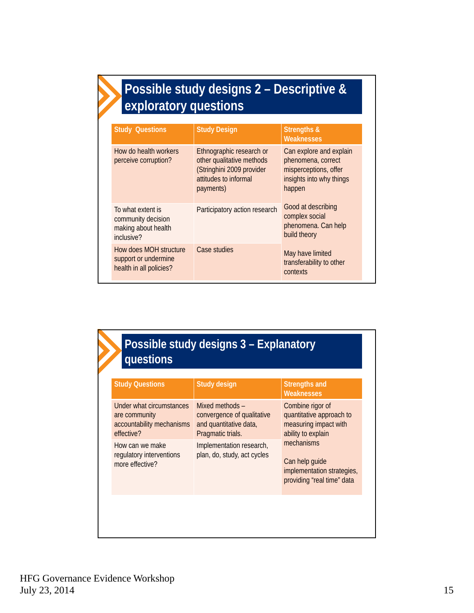## **Possible study designs 2 – Descriptive & exploratory questions**

| <b>Study Questions</b>                                                       | <b>Study Design</b>                                                                                                      | <b>Strengths &amp;</b><br><b>Weaknesses</b>                                                                  |
|------------------------------------------------------------------------------|--------------------------------------------------------------------------------------------------------------------------|--------------------------------------------------------------------------------------------------------------|
| How do health workers<br>perceive corruption?                                | Ethnographic research or<br>other qualitative methods<br>(Stringhini 2009 provider<br>attitudes to informal<br>payments) | Can explore and explain<br>phenomena, correct<br>misperceptions, offer<br>insights into why things<br>happen |
| To what extent is<br>community decision<br>making about health<br>inclusive? | Participatory action research                                                                                            | Good at describing<br>complex social<br>phenomena. Can help<br>build theory                                  |
| How does MOH structure<br>support or undermine<br>health in all policies?    | Case studies                                                                                                             | May have limited<br>transferability to other<br>contexts                                                     |

| <b>Study Questions</b>                                                               | <b>Study design</b>                                                                          | <b>Strengths and</b><br><b>Weaknesses</b>                                                   |
|--------------------------------------------------------------------------------------|----------------------------------------------------------------------------------------------|---------------------------------------------------------------------------------------------|
| Under what circumstances<br>are community<br>accountability mechanisms<br>effective? | Mixed methods -<br>convergence of qualitative<br>and quantitative data,<br>Pragmatic trials. | Combine rigor of<br>quantitative approach to<br>measuring impact with<br>ability to explain |
| How can we make<br>regulatory interventions<br>more effective?                       | Implementation research,<br>plan, do, study, act cycles                                      | mechanisms<br>Can help guide<br>implementation strategies,<br>providing "real time" data    |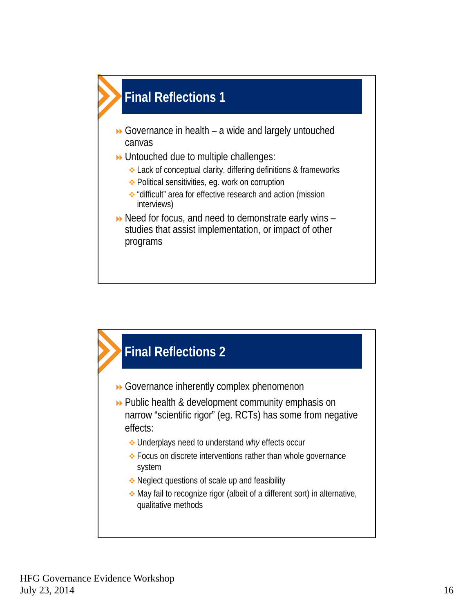